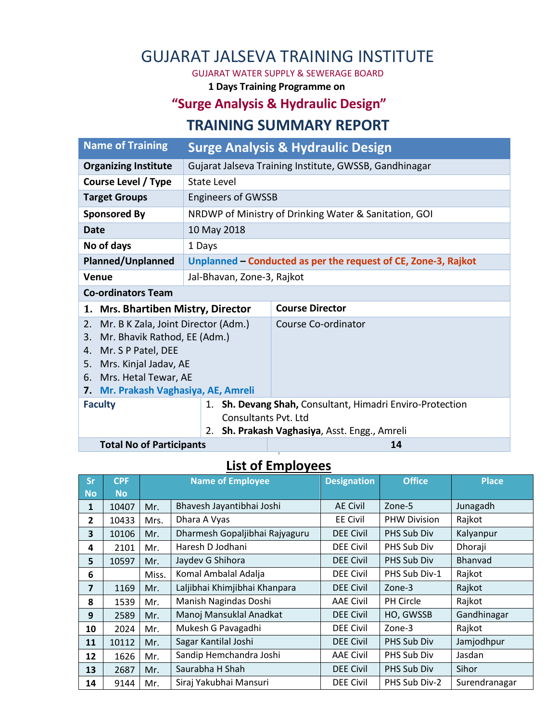# GUJARAT JALSEVA TRAINING INSTITUTE

GUJARAT WATER SUPPLY & SEWERAGE BOARD

**1 Days Training Programme on** 

## **"Surge Analysis & Hydraulic Design"**

### **TRAINING SUMMARY REPORT**

| <b>Name of Training</b>                                                                                                                                                                                 | <b>Surge Analysis &amp; Hydraulic Design</b>           |                                                                |  |  |  |
|---------------------------------------------------------------------------------------------------------------------------------------------------------------------------------------------------------|--------------------------------------------------------|----------------------------------------------------------------|--|--|--|
| <b>Organizing Institute</b>                                                                                                                                                                             | Gujarat Jalseva Training Institute, GWSSB, Gandhinagar |                                                                |  |  |  |
| <b>Course Level / Type</b>                                                                                                                                                                              | State Level                                            |                                                                |  |  |  |
| <b>Engineers of GWSSB</b><br><b>Target Groups</b>                                                                                                                                                       |                                                        |                                                                |  |  |  |
| <b>Sponsored By</b>                                                                                                                                                                                     |                                                        | NRDWP of Ministry of Drinking Water & Sanitation, GOI          |  |  |  |
| Date                                                                                                                                                                                                    | 10 May 2018                                            |                                                                |  |  |  |
| No of days<br>1 Days                                                                                                                                                                                    |                                                        |                                                                |  |  |  |
| Planned/Unplanned                                                                                                                                                                                       |                                                        | Unplanned – Conducted as per the request of CE, Zone-3, Rajkot |  |  |  |
| <b>Venue</b><br>Jal-Bhavan, Zone-3, Rajkot                                                                                                                                                              |                                                        |                                                                |  |  |  |
| <b>Co-ordinators Team</b>                                                                                                                                                                               |                                                        |                                                                |  |  |  |
| 1. Mrs. Bhartiben Mistry, Director                                                                                                                                                                      |                                                        | <b>Course Director</b>                                         |  |  |  |
| Mr. B K Zala, Joint Director (Adm.)<br>2.<br>Mr. Bhavik Rathod, EE (Adm.)<br>3.<br>4. Mr. S P Patel, DEE<br>5. Mrs. Kinjal Jadav, AE<br>6. Mrs. Hetal Tewar, AE<br>7. Mr. Prakash Vaghasiya, AE, Amreli |                                                        | Course Co-ordinator                                            |  |  |  |
| <b>Faculty</b>                                                                                                                                                                                          |                                                        | 1. Sh. Devang Shah, Consultant, Himadri Enviro-Protection      |  |  |  |
| <b>Consultants Pyt. Ltd</b><br>Sh. Prakash Vaghasiya, Asst. Engg., Amreli<br>2.                                                                                                                         |                                                        |                                                                |  |  |  |
| <b>Total No of Participants</b>                                                                                                                                                                         |                                                        | 14                                                             |  |  |  |

#### **4 List of Employees**

| <b>Sr</b> | <b>CPF</b> | <b>Name of Employee</b> |                                | <b>Designation</b> | <b>Office</b>       | <b>Place</b>  |
|-----------|------------|-------------------------|--------------------------------|--------------------|---------------------|---------------|
| <b>No</b> | <b>No</b>  |                         |                                |                    |                     |               |
| 1         | 10407      | Mr.                     | Bhavesh Jayantibhai Joshi      | <b>AE Civil</b>    | Zone-5              | Junagadh      |
| 2         | 10433      | Mrs.                    | Dhara A Vyas                   | <b>EE Civil</b>    | <b>PHW Division</b> | Rajkot        |
| 3         | 10106      | Mr.                     | Dharmesh Gopaljibhai Rajyaguru | <b>DEE Civil</b>   | PHS Sub Div         | Kalyanpur     |
| 4         | 2101       | Mr.                     | Haresh D Jodhani               | <b>DEE Civil</b>   | PHS Sub Div         | Dhoraji       |
| 5         | 10597      | Mr.                     | Jaydev G Shihora               | <b>DEE Civil</b>   | PHS Sub Div         | Bhanvad       |
| 6         |            | Miss.                   | Komal Ambalal Adalja           | <b>DEE Civil</b>   | PHS Sub Div-1       | Rajkot        |
| 7         | 1169       | Mr.                     | Laljibhai Khimjibhai Khanpara  | <b>DEE Civil</b>   | Zone-3              | Rajkot        |
| 8         | 1539       | Mr.                     | Manish Nagindas Doshi          | <b>AAE Civil</b>   | PH Circle           | Rajkot        |
| 9         | 2589       | Mr.                     | Manoj Mansuklal Anadkat        | <b>DEE Civil</b>   | HO, GWSSB           | Gandhinagar   |
| 10        | 2024       | Mr.                     | Mukesh G Pavagadhi             | <b>DEE Civil</b>   | Zone-3              | Rajkot        |
| 11        | 10112      | Mr.                     | Sagar Kantilal Joshi           | <b>DEE Civil</b>   | PHS Sub Div         | Jamjodhpur    |
| 12        | 1626       | Mr.                     | Sandip Hemchandra Joshi        | <b>AAE Civil</b>   | PHS Sub Div         | Jasdan        |
| 13        | 2687       | Mr.                     | Saurabha H Shah                | <b>DEE Civil</b>   | PHS Sub Div         | Sihor         |
| 14        | 9144       | Mr.                     | Siraj Yakubhai Mansuri         | <b>DEE Civil</b>   | PHS Sub Div-2       | Surendranagar |